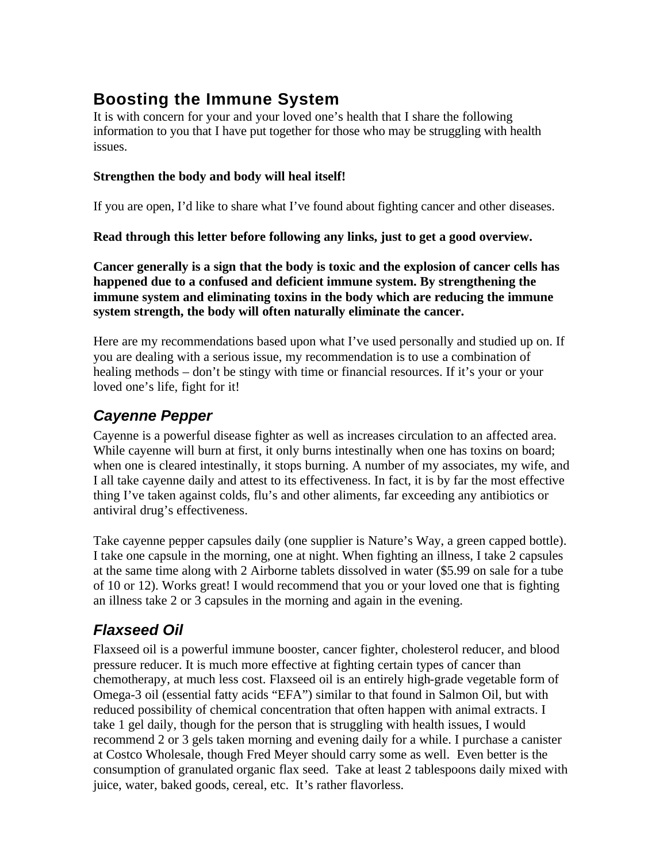# **Boosting the Immune System**

It is with concern for your and your loved one's health that I share the following information to you that I have put together for those who may be struggling with health issues.

#### **Strengthen the body and body will heal itself!**

If you are open, I'd like to share what I've found about fighting cancer and other diseases.

**Read through this letter before following any links, just to get a good overview.**

**Cancer generally is a sign that the body is toxic and the explosion of cancer cells has happened due to a confused and deficient immune system. By strengthening the immune system and eliminating toxins in the body which are reducing the immune system strength, the body will often naturally eliminate the cancer.**

Here are my recommendations based upon what I've used personally and studied up on. If you are dealing with a serious issue, my recommendation is to use a combination of healing methods – don't be stingy with time or financial resources. If it's your or your loved one's life, fight for it!

### *Cayenne Pepper*

Cayenne is a powerful disease fighter as well as increases circulation to an affected area. While cayenne will burn at first, it only burns intestinally when one has toxins on board; when one is cleared intestinally, it stops burning. A number of my associates, my wife, and I all take cayenne daily and attest to its effectiveness. In fact, it is by far the most effective thing I've taken against colds, flu's and other aliments, far exceeding any antibiotics or antiviral drug's effectiveness.

Take cayenne pepper capsules daily (one supplier is Nature's Way, a green capped bottle). I take one capsule in the morning, one at night. When fighting an illness, I take 2 capsules at the same time along with 2 Airborne tablets dissolved in water (\$5.99 on sale for a tube of 10 or 12). Works great! I would recommend that you or your loved one that is fighting an illness take 2 or 3 capsules in the morning and again in the evening.

## *Flaxseed Oil*

Flaxseed oil is a powerful immune booster, cancer fighter, cholesterol reducer, and blood pressure reducer. It is much more effective at fighting certain types of cancer than chemotherapy, at much less cost. Flaxseed oil is an entirely high-grade vegetable form of Omega-3 oil (essential fatty acids "EFA") similar to that found in Salmon Oil, but with reduced possibility of chemical concentration that often happen with animal extracts. I take 1 gel daily, though for the person that is struggling with health issues, I would recommend 2 or 3 gels taken morning and evening daily for a while. I purchase a canister at Costco Wholesale, though Fred Meyer should carry some as well. Even better is the consumption of granulated organic flax seed. Take at least 2 tablespoons daily mixed with juice, water, baked goods, cereal, etc. It's rather flavorless.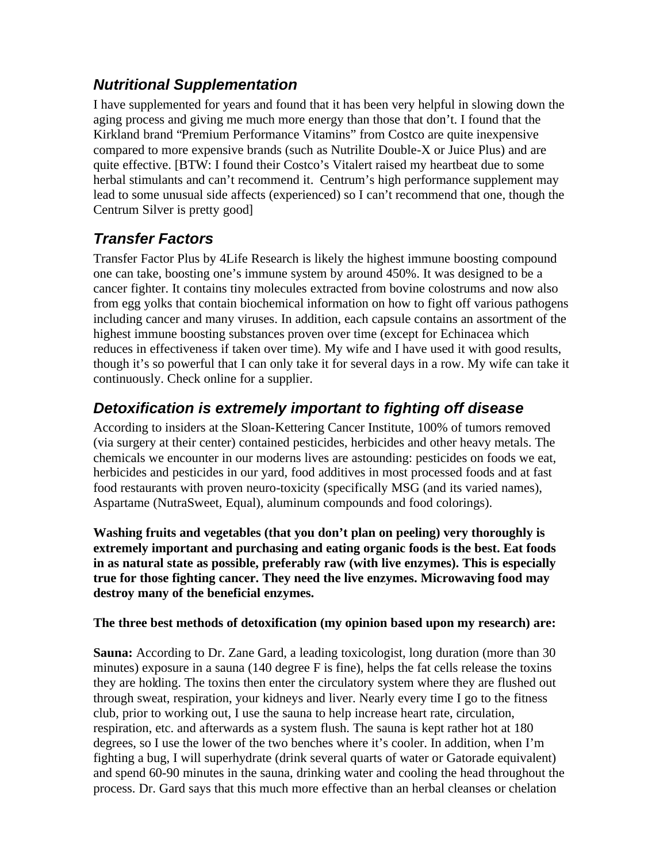### *Nutritional Supplementation*

I have supplemented for years and found that it has been very helpful in slowing down the aging process and giving me much more energy than those that don't. I found that the Kirkland brand "Premium Performance Vitamins" from Costco are quite inexpensive compared to more expensive brands (such as Nutrilite Double-X or Juice Plus) and are quite effective. [BTW: I found their Costco's Vitalert raised my heartbeat due to some herbal stimulants and can't recommend it. Centrum's high performance supplement may lead to some unusual side affects (experienced) so I can't recommend that one, though the Centrum Silver is pretty good]

### *Transfer Factors*

Transfer Factor Plus by 4Life Research is likely the highest immune boosting compound one can take, boosting one's immune system by around 450%. It was designed to be a cancer fighter. It contains tiny molecules extracted from bovine colostrums and now also from egg yolks that contain biochemical information on how to fight off various pathogens including cancer and many viruses. In addition, each capsule contains an assortment of the highest immune boosting substances proven over time (except for Echinacea which reduces in effectiveness if taken over time). My wife and I have used it with good results, though it's so powerful that I can only take it for several days in a row. My wife can take it continuously. Check online for a supplier.

### *Detoxification is extremely important to fighting off disease*

According to insiders at the Sloan-Kettering Cancer Institute, 100% of tumors removed (via surgery at their center) contained pesticides, herbicides and other heavy metals. The chemicals we encounter in our moderns lives are astounding: pesticides on foods we eat, herbicides and pesticides in our yard, food additives in most processed foods and at fast food restaurants with proven neuro-toxicity (specifically MSG (and its varied names), Aspartame (NutraSweet, Equal), aluminum compounds and food colorings).

**Washing fruits and vegetables (that you don't plan on peeling) very thoroughly is extremely important and purchasing and eating organic foods is the best. Eat foods in as natural state as possible, preferably raw (with live enzymes). This is especially true for those fighting cancer. They need the live enzymes. Microwaving food may destroy many of the beneficial enzymes.**

#### **The three best methods of detoxification (my opinion based upon my research) are:**

**Sauna:** According to Dr. Zane Gard, a leading toxicologist, long duration (more than 30 minutes) exposure in a sauna (140 degree F is fine), helps the fat cells release the toxins they are holding. The toxins then enter the circulatory system where they are flushed out through sweat, respiration, your kidneys and liver. Nearly every time I go to the fitness club, prior to working out, I use the sauna to help increase heart rate, circulation, respiration, etc. and afterwards as a system flush. The sauna is kept rather hot at 180 degrees, so I use the lower of the two benches where it's cooler. In addition, when I'm fighting a bug, I will superhydrate (drink several quarts of water or Gatorade equivalent) and spend 60-90 minutes in the sauna, drinking water and cooling the head throughout the process. Dr. Gard says that this much more effective than an herbal cleanses or chelation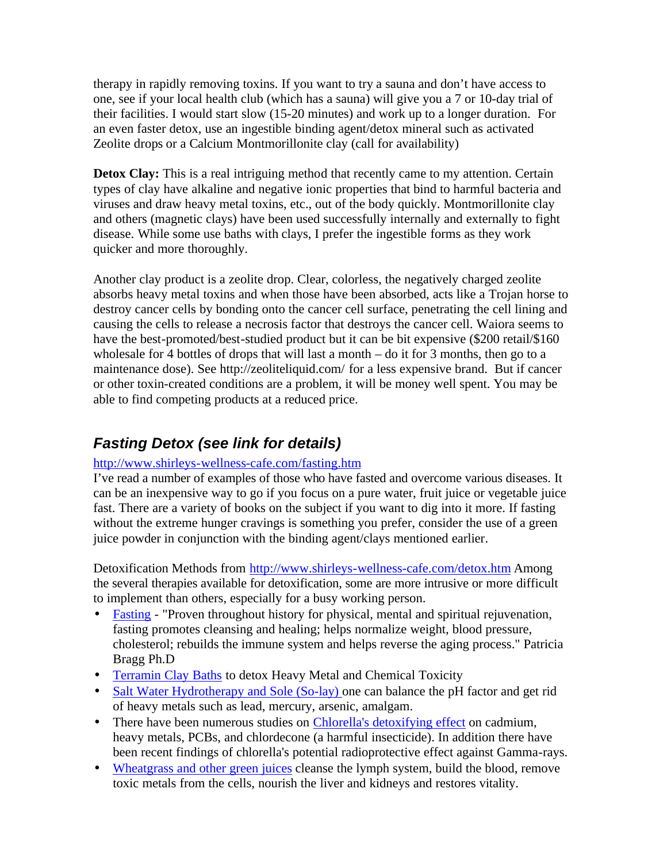therapy in rapidly removing toxins. If you want to try a sauna and don't have access to one, see if your local health club (which has a sauna) will give you a 7 or 10-day trial of their facilities. I would start slow (15-20 minutes) and work up to a longer duration. For an even faster detox, use an ingestible binding agent/detox mineral such as activated Zeolite drops or a Calcium Montmorillonite clay (call for availability)

**Detox Clay:** This is a real intriguing method that recently came to my attention. Certain types of clay have alkaline and negative ionic properties that bind to harmful bacteria and viruses and draw heavy metal toxins, etc., out of the body quickly. Montmorillonite clay and others (magnetic clays) have been used successfully internally and externally to fight disease. While some use baths with clays, I prefer the ingestible forms as they work quicker and more thoroughly.

Another clay product is a zeolite drop. Clear, colorless, the negatively charged zeolite absorbs heavy metal toxins and when those have been absorbed, acts like a Trojan horse to destroy cancer cells by bonding onto the cancer cell surface, penetrating the cell lining and causing the cells to release a necrosis factor that destroys the cancer cell. Waiora seems to have the best-promoted/best-studied product but it can be bit expensive (\$200 retail/\$160 wholesale for 4 bottles of drops that will last a month – do it for 3 months, then go to a maintenance dose). See http://zeoliteliquid.com/ for a less expensive brand. But if cancer or other toxin-created conditions are a problem, it will be money well spent. You may be able to find competing products at a reduced price.

### *Fasting Detox (see link for details)*

#### http://www.shirleys-wellness-cafe.com/fasting.htm

I've read a number of examples of those who have fasted and overcome various diseases. It can be an inexpensive way to go if you focus on a pure water, fruit juice or vegetable juice fast. There are a variety of books on the subject if you want to dig into it more. If fasting without the extreme hunger cravings is something you prefer, consider the use of a green juice powder in conjunction with the binding agent/clays mentioned earlier.

Detoxification Methods from http://www.shirleys-wellness-cafe.com/detox.htm Among the several therapies available for detoxification, some are more intrusive or more difficult to implement than others, especially for a busy working person.

- Fasting "Proven throughout history for physical, mental and spiritual rejuvenation, fasting promotes cleansing and healing; helps normalize weight, blood pressure, cholesterol; rebuilds the immune system and helps reverse the aging process." Patricia Bragg Ph.D
- Terramin Clay Baths to detox Heavy Metal and Chemical Toxicity
- Salt Water Hydrotherapy and Sole (So-lay) one can balance the pH factor and get rid of heavy metals such as lead, mercury, arsenic, amalgam.
- There have been numerous studies on Chlorella's detoxifying effect on cadmium, heavy metals, PCBs, and chlordecone (a harmful insecticide). In addition there have been recent findings of chlorella's potential radioprotective effect against Gamma-rays.
- Wheatgrass and other green juices cleanse the lymph system, build the blood, remove toxic metals from the cells, nourish the liver and kidneys and restores vitality.